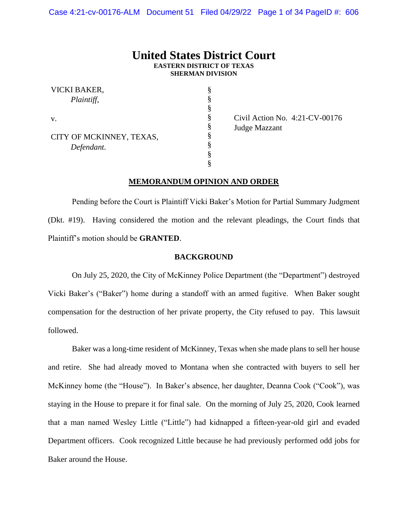# **United States District Court EASTERN DISTRICT OF TEXAS SHERMAN DIVISION**

§ § § § § § § § §

|    | VICKI BAKER,<br>Plaintiff, |
|----|----------------------------|
| V. |                            |
|    | CITY OF MCKINNEY, TEXAS,   |
|    | Defendant.                 |

Civil Action No. 4:21-CV-00176 Judge Mazzant

### **MEMORANDUM OPINION AND ORDER**

Pending before the Court is Plaintiff Vicki Baker's Motion for Partial Summary Judgment (Dkt. #19). Having considered the motion and the relevant pleadings, the Court finds that Plaintiff's motion should be **GRANTED**.

#### **BACKGROUND**

On July 25, 2020, the City of McKinney Police Department (the "Department") destroyed Vicki Baker's ("Baker") home during a standoff with an armed fugitive. When Baker sought compensation for the destruction of her private property, the City refused to pay. This lawsuit followed.

Baker was a long-time resident of McKinney, Texas when she made plans to sell her house and retire. She had already moved to Montana when she contracted with buyers to sell her McKinney home (the "House"). In Baker's absence, her daughter, Deanna Cook ("Cook"), was staying in the House to prepare it for final sale. On the morning of July 25, 2020, Cook learned that a man named Wesley Little ("Little") had kidnapped a fifteen-year-old girl and evaded Department officers. Cook recognized Little because he had previously performed odd jobs for Baker around the House.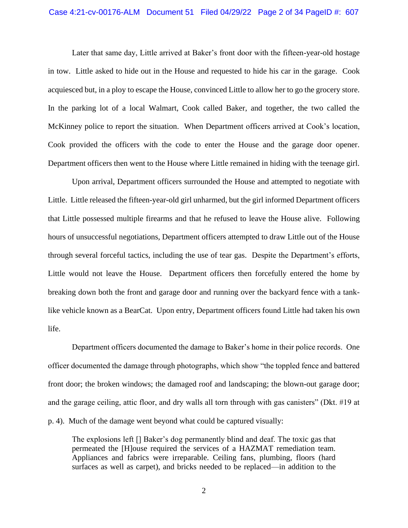Later that same day, Little arrived at Baker's front door with the fifteen-year-old hostage in tow. Little asked to hide out in the House and requested to hide his car in the garage. Cook acquiesced but, in a ploy to escape the House, convinced Little to allow her to go the grocery store. In the parking lot of a local Walmart, Cook called Baker, and together, the two called the McKinney police to report the situation. When Department officers arrived at Cook's location, Cook provided the officers with the code to enter the House and the garage door opener. Department officers then went to the House where Little remained in hiding with the teenage girl.

Upon arrival, Department officers surrounded the House and attempted to negotiate with Little. Little released the fifteen-year-old girl unharmed, but the girl informed Department officers that Little possessed multiple firearms and that he refused to leave the House alive. Following hours of unsuccessful negotiations, Department officers attempted to draw Little out of the House through several forceful tactics, including the use of tear gas. Despite the Department's efforts, Little would not leave the House. Department officers then forcefully entered the home by breaking down both the front and garage door and running over the backyard fence with a tanklike vehicle known as a BearCat. Upon entry, Department officers found Little had taken his own life.

Department officers documented the damage to Baker's home in their police records. One officer documented the damage through photographs, which show "the toppled fence and battered front door; the broken windows; the damaged roof and landscaping; the blown-out garage door; and the garage ceiling, attic floor, and dry walls all torn through with gas canisters" (Dkt. #19 at p. 4). Much of the damage went beyond what could be captured visually:

The explosions left [] Baker's dog permanently blind and deaf. The toxic gas that permeated the [H]ouse required the services of a HAZMAT remediation team. Appliances and fabrics were irreparable. Ceiling fans, plumbing, floors (hard surfaces as well as carpet), and bricks needed to be replaced—in addition to the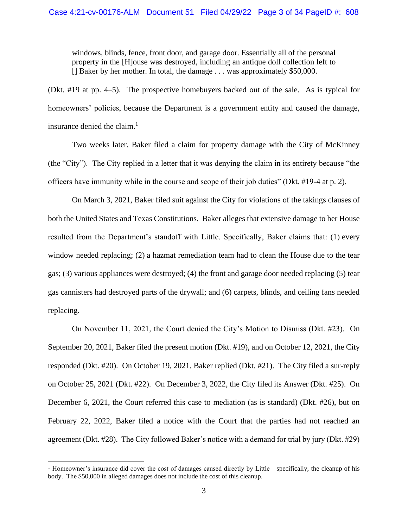windows, blinds, fence, front door, and garage door. Essentially all of the personal property in the [H]ouse was destroyed, including an antique doll collection left to [] Baker by her mother. In total, the damage . . . was approximately \$50,000.

(Dkt. #19 at pp. 4–5). The prospective homebuyers backed out of the sale. As is typical for homeowners' policies, because the Department is a government entity and caused the damage, insurance denied the claim. 1

Two weeks later, Baker filed a claim for property damage with the City of McKinney (the "City"). The City replied in a letter that it was denying the claim in its entirety because "the officers have immunity while in the course and scope of their job duties" (Dkt. #19-4 at p. 2).

On March 3, 2021, Baker filed suit against the City for violations of the takings clauses of both the United States and Texas Constitutions. Baker alleges that extensive damage to her House resulted from the Department's standoff with Little. Specifically, Baker claims that: (1) every window needed replacing; (2) a hazmat remediation team had to clean the House due to the tear gas; (3) various appliances were destroyed; (4) the front and garage door needed replacing (5) tear gas cannisters had destroyed parts of the drywall; and (6) carpets, blinds, and ceiling fans needed replacing.

On November 11, 2021, the Court denied the City's Motion to Dismiss (Dkt. #23). On September 20, 2021, Baker filed the present motion (Dkt. #19), and on October 12, 2021, the City responded (Dkt. #20). On October 19, 2021, Baker replied (Dkt. #21). The City filed a sur-reply on October 25, 2021 (Dkt. #22). On December 3, 2022, the City filed its Answer (Dkt. #25). On December 6, 2021, the Court referred this case to mediation (as is standard) (Dkt. #26), but on February 22, 2022, Baker filed a notice with the Court that the parties had not reached an agreement (Dkt. #28). The City followed Baker's notice with a demand for trial by jury (Dkt. #29)

<sup>&</sup>lt;sup>1</sup> Homeowner's insurance did cover the cost of damages caused directly by Little—specifically, the cleanup of his body. The \$50,000 in alleged damages does not include the cost of this cleanup.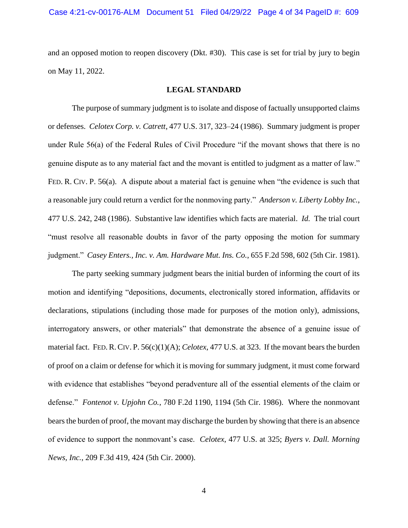and an opposed motion to reopen discovery (Dkt. #30). This case is set for trial by jury to begin on May 11, 2022.

#### **LEGAL STANDARD**

The purpose of summary judgment is to isolate and dispose of factually unsupported claims or defenses. *Celotex Corp. v. Catrett*, 477 U.S. 317, 323–24 (1986). Summary judgment is proper under Rule 56(a) of the Federal Rules of Civil Procedure "if the movant shows that there is no genuine dispute as to any material fact and the movant is entitled to judgment as a matter of law." FED. R. CIV. P. 56(a). A dispute about a material fact is genuine when "the evidence is such that a reasonable jury could return a verdict for the nonmoving party." *Anderson v. Liberty Lobby Inc.*, 477 U.S. 242, 248 (1986). Substantive law identifies which facts are material. *Id.* The trial court "must resolve all reasonable doubts in favor of the party opposing the motion for summary judgment." *Casey Enters., Inc. v. Am. Hardware Mut. Ins. Co.*, 655 F.2d 598, 602 (5th Cir. 1981).

The party seeking summary judgment bears the initial burden of informing the court of its motion and identifying "depositions, documents, electronically stored information, affidavits or declarations, stipulations (including those made for purposes of the motion only), admissions, interrogatory answers, or other materials" that demonstrate the absence of a genuine issue of material fact. FED.R.CIV. P. 56(c)(1)(A); *Celotex*, 477 U.S. at 323. If the movant bears the burden of proof on a claim or defense for which it is moving for summary judgment, it must come forward with evidence that establishes "beyond peradventure all of the essential elements of the claim or defense." *Fontenot v. Upjohn Co.*, 780 F.2d 1190, 1194 (5th Cir. 1986). Where the nonmovant bears the burden of proof, the movant may discharge the burden by showing that there is an absence of evidence to support the nonmovant's case. *Celotex*, 477 U.S. at 325; *Byers v. Dall. Morning News, Inc.*, 209 F.3d 419, 424 (5th Cir. 2000).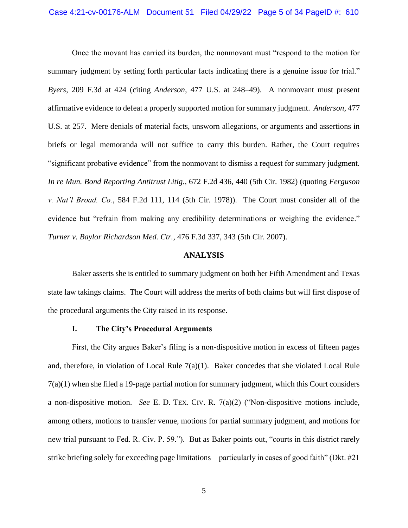Once the movant has carried its burden, the nonmovant must "respond to the motion for summary judgment by setting forth particular facts indicating there is a genuine issue for trial." *Byers*, 209 F.3d at 424 (citing *Anderson*, 477 U.S. at 248–49). A nonmovant must present affirmative evidence to defeat a properly supported motion for summary judgment. *Anderson*, 477 U.S. at 257. Mere denials of material facts, unsworn allegations, or arguments and assertions in briefs or legal memoranda will not suffice to carry this burden. Rather, the Court requires "significant probative evidence" from the nonmovant to dismiss a request for summary judgment. *In re Mun. Bond Reporting Antitrust Litig.*, 672 F.2d 436, 440 (5th Cir. 1982) (quoting *Ferguson v. Nat'l Broad. Co.*, 584 F.2d 111, 114 (5th Cir. 1978)). The Court must consider all of the evidence but "refrain from making any credibility determinations or weighing the evidence." *Turner v. Baylor Richardson Med. Ctr.*, 476 F.3d 337, 343 (5th Cir. 2007).

#### **ANALYSIS**

Baker asserts she is entitled to summary judgment on both her Fifth Amendment and Texas state law takings claims. The Court will address the merits of both claims but will first dispose of the procedural arguments the City raised in its response.

### **I. The City's Procedural Arguments**

First, the City argues Baker's filing is a non-dispositive motion in excess of fifteen pages and, therefore, in violation of Local Rule  $7(a)(1)$ . Baker concedes that she violated Local Rule 7(a)(1) when she filed a 19-page partial motion for summary judgment, which this Court considers a non-dispositive motion. *See* E. D. TEX. CIV. R. 7(a)(2) ("Non-dispositive motions include, among others, motions to transfer venue, motions for partial summary judgment, and motions for new trial pursuant to Fed. R. Civ. P. 59."). But as Baker points out, "courts in this district rarely strike briefing solely for exceeding page limitations—particularly in cases of good faith" (Dkt. #21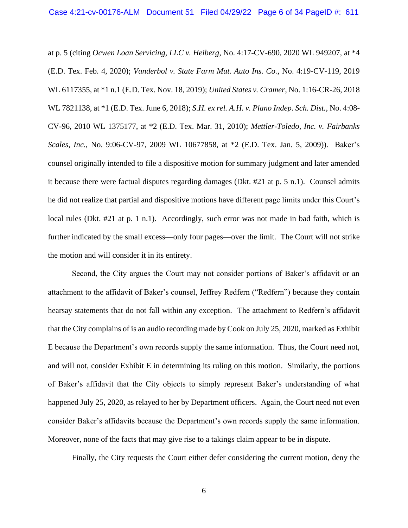at p. 5 (citing *Ocwen Loan Servicing, LLC v. Heiberg*, No. 4:17-CV-690, 2020 WL 949207, at \*4 (E.D. Tex. Feb. 4, 2020); *Vanderbol v. State Farm Mut. Auto Ins. Co.*, No. 4:19-CV-119, 2019 WL 6117355, at \*1 n.1 (E.D. Tex. Nov. 18, 2019); *United States v. Cramer*, No. 1:16-CR-26, 2018 WL 7821138, at \*1 (E.D. Tex. June 6, 2018); *S.H. ex rel. A.H. v. Plano Indep. Sch. Dist.*, No. 4:08- CV-96, 2010 WL 1375177, at \*2 (E.D. Tex. Mar. 31, 2010); *Mettler-Toledo, Inc. v. Fairbanks Scales, Inc.*, No. 9:06-CV-97, 2009 WL 10677858, at \*2 (E.D. Tex. Jan. 5, 2009)). Baker's counsel originally intended to file a dispositive motion for summary judgment and later amended it because there were factual disputes regarding damages (Dkt. #21 at p. 5 n.1). Counsel admits he did not realize that partial and dispositive motions have different page limits under this Court's local rules (Dkt. #21 at p. 1 n.1). Accordingly, such error was not made in bad faith, which is further indicated by the small excess—only four pages—over the limit. The Court will not strike the motion and will consider it in its entirety.

Second, the City argues the Court may not consider portions of Baker's affidavit or an attachment to the affidavit of Baker's counsel, Jeffrey Redfern ("Redfern") because they contain hearsay statements that do not fall within any exception. The attachment to Redfern's affidavit that the City complains of is an audio recording made by Cook on July 25, 2020, marked as Exhibit E because the Department's own records supply the same information. Thus, the Court need not, and will not, consider Exhibit E in determining its ruling on this motion. Similarly, the portions of Baker's affidavit that the City objects to simply represent Baker's understanding of what happened July 25, 2020, as relayed to her by Department officers. Again, the Court need not even consider Baker's affidavits because the Department's own records supply the same information. Moreover, none of the facts that may give rise to a takings claim appear to be in dispute.

Finally, the City requests the Court either defer considering the current motion, deny the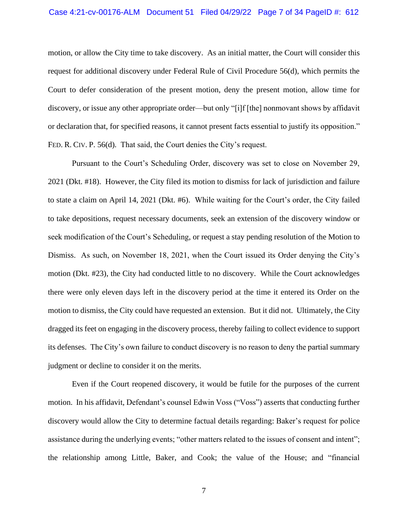motion, or allow the City time to take discovery. As an initial matter, the Court will consider this request for additional discovery under Federal Rule of Civil Procedure 56(d), which permits the Court to defer consideration of the present motion, deny the present motion, allow time for discovery, or issue any other appropriate order—but only "[i]f [the] nonmovant shows by affidavit or declaration that, for specified reasons, it cannot present facts essential to justify its opposition." FED. R. CIV. P. 56(d). That said, the Court denies the City's request.

Pursuant to the Court's Scheduling Order, discovery was set to close on November 29, 2021 (Dkt. #18). However, the City filed its motion to dismiss for lack of jurisdiction and failure to state a claim on April 14, 2021 (Dkt. #6). While waiting for the Court's order, the City failed to take depositions, request necessary documents, seek an extension of the discovery window or seek modification of the Court's Scheduling, or request a stay pending resolution of the Motion to Dismiss. As such, on November 18, 2021, when the Court issued its Order denying the City's motion (Dkt. #23), the City had conducted little to no discovery. While the Court acknowledges there were only eleven days left in the discovery period at the time it entered its Order on the motion to dismiss, the City could have requested an extension. But it did not. Ultimately, the City dragged its feet on engaging in the discovery process, thereby failing to collect evidence to support its defenses. The City's own failure to conduct discovery is no reason to deny the partial summary judgment or decline to consider it on the merits.

Even if the Court reopened discovery, it would be futile for the purposes of the current motion. In his affidavit, Defendant's counsel Edwin Voss ("Voss") asserts that conducting further discovery would allow the City to determine factual details regarding: Baker's request for police assistance during the underlying events; "other matters related to the issues of consent and intent"; the relationship among Little, Baker, and Cook; the value of the House; and "financial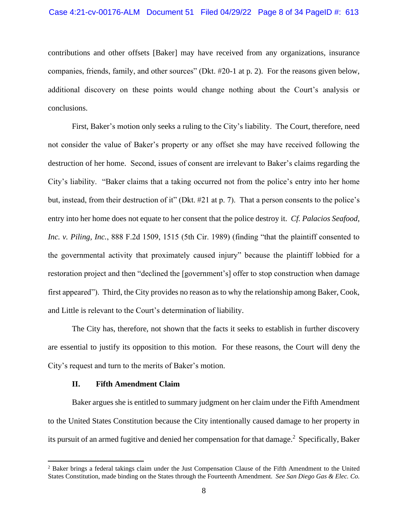contributions and other offsets [Baker] may have received from any organizations, insurance companies, friends, family, and other sources" (Dkt. #20-1 at p. 2). For the reasons given below, additional discovery on these points would change nothing about the Court's analysis or conclusions.

First, Baker's motion only seeks a ruling to the City's liability. The Court, therefore, need not consider the value of Baker's property or any offset she may have received following the destruction of her home. Second, issues of consent are irrelevant to Baker's claims regarding the City's liability. "Baker claims that a taking occurred not from the police's entry into her home but, instead, from their destruction of it" (Dkt. #21 at p. 7). That a person consents to the police's entry into her home does not equate to her consent that the police destroy it. *Cf. Palacios Seafood, Inc. v. Piling, Inc.*, 888 F.2d 1509, 1515 (5th Cir. 1989) (finding "that the plaintiff consented to the governmental activity that proximately caused injury" because the plaintiff lobbied for a restoration project and then "declined the [government's] offer to stop construction when damage first appeared"). Third, the City provides no reason as to why the relationship among Baker, Cook, and Little is relevant to the Court's determination of liability.

The City has, therefore, not shown that the facts it seeks to establish in further discovery are essential to justify its opposition to this motion. For these reasons, the Court will deny the City's request and turn to the merits of Baker's motion.

#### **II. Fifth Amendment Claim**

Baker argues she is entitled to summary judgment on her claim under the Fifth Amendment to the United States Constitution because the City intentionally caused damage to her property in its pursuit of an armed fugitive and denied her compensation for that damage.<sup>2</sup> Specifically, Baker

<sup>2</sup> Baker brings a federal takings claim under the Just Compensation Clause of the Fifth Amendment to the United States Constitution, made binding on the States through the Fourteenth Amendment. *See San Diego Gas & Elec. Co.*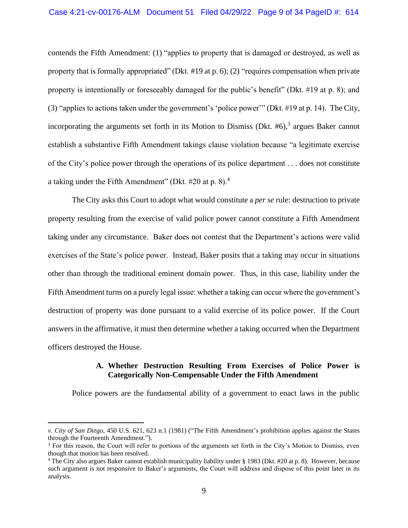contends the Fifth Amendment: (1) "applies to property that is damaged or destroyed, as well as property that is formally appropriated" (Dkt. #19 at p. 6); (2) "requires compensation when private property is intentionally or foreseeably damaged for the public's benefit" (Dkt. #19 at p. 8); and (3) "applies to actions taken under the government's 'police power'" (Dkt. #19 at p. 14). The City, incorporating the arguments set forth in its Motion to Dismiss (Dkt.  $#6$ ),<sup>3</sup> argues Baker cannot establish a substantive Fifth Amendment takings clause violation because "a legitimate exercise of the City's police power through the operations of its police department . . . does not constitute a taking under the Fifth Amendment" (Dkt.  $#20$  at p. 8).<sup>4</sup>

The City asks this Court to adopt what would constitute a *per se* rule: destruction to private property resulting from the exercise of valid police power cannot constitute a Fifth Amendment taking under any circumstance. Baker does not contest that the Department's actions were valid exercises of the State's police power. Instead, Baker posits that a taking may occur in situations other than through the traditional eminent domain power. Thus, in this case, liability under the Fifth Amendment turns on a purely legal issue: whether a taking can occur where the government's destruction of property was done pursuant to a valid exercise of its police power. If the Court answers in the affirmative, it must then determine whether a taking occurred when the Department officers destroyed the House.

## **A. Whether Destruction Resulting From Exercises of Police Power is Categorically Non-Compensable Under the Fifth Amendment**

Police powers are the fundamental ability of a government to enact laws in the public

*v. City of San Diego*, 450 U.S. 621, 623 n.1 (1981) ("The Fifth Amendment's prohibition applies against the States through the Fourteenth Amendment.").

 $3$  For this reason, the Court will refer to portions of the arguments set forth in the City's Motion to Dismiss, even though that motion has been resolved.

<sup>4</sup> The City also argues Baker cannot establish municipality liability under § 1983 (Dkt. #20 at p. 8). However, because such argument is not responsive to Baker's arguments, the Court will address and dispose of this point later in its analysis.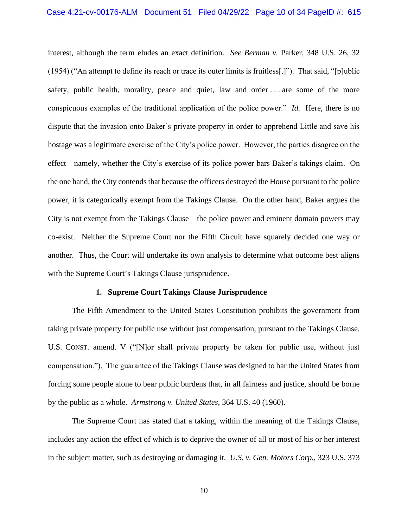interest, although the term eludes an exact definition. *See Berman v*. Parker, 348 U.S. 26, 32 (1954) ("An attempt to define its reach or trace its outer limits is fruitless[.]"). That said, "[p]ublic safety, public health, morality, peace and quiet, law and order . . . are some of the more conspicuous examples of the traditional application of the police power." *Id.* Here, there is no dispute that the invasion onto Baker's private property in order to apprehend Little and save his hostage was a legitimate exercise of the City's police power. However, the parties disagree on the effect—namely, whether the City's exercise of its police power bars Baker's takings claim. On the one hand, the City contends that because the officers destroyed the House pursuant to the police power, it is categorically exempt from the Takings Clause. On the other hand, Baker argues the City is not exempt from the Takings Clause—the police power and eminent domain powers may co-exist. Neither the Supreme Court nor the Fifth Circuit have squarely decided one way or another. Thus, the Court will undertake its own analysis to determine what outcome best aligns with the Supreme Court's Takings Clause jurisprudence.

#### **1. Supreme Court Takings Clause Jurisprudence**

The Fifth Amendment to the United States Constitution prohibits the government from taking private property for public use without just compensation, pursuant to the Takings Clause. U.S. CONST. amend. V ("[N]or shall private property be taken for public use, without just compensation."). The guarantee of the Takings Clause was designed to bar the United States from forcing some people alone to bear public burdens that, in all fairness and justice, should be borne by the public as a whole. *Armstrong v. United States*, 364 U.S. 40 (1960).

The Supreme Court has stated that a taking, within the meaning of the Takings Clause, includes any action the effect of which is to deprive the owner of all or most of his or her interest in the subject matter, such as destroying or damaging it. *U.S. v. Gen. Motors Corp.*, 323 U.S. 373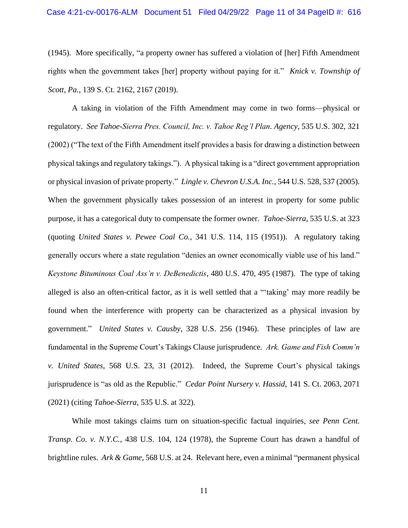(1945). More specifically, "a property owner has suffered a violation of [her] Fifth Amendment rights when the government takes [her] property without paying for it." *Knick v. Township of Scott, Pa.*, 139 S. Ct. 2162, 2167 (2019).

A taking in violation of the Fifth Amendment may come in two forms—physical or regulatory. *See Tahoe-Sierra Pres. Council, Inc. v. Tahoe Reg'l Plan. Agency*, 535 U.S. 302, 321 (2002) ("The text of the Fifth Amendment itself provides a basis for drawing a distinction between physical takings and regulatory takings."). A physical taking is a "direct government appropriation or physical invasion of private property." *Lingle v. Chevron U.S.A. Inc.*, 544 U.S. 528, 537 (2005). When the government physically takes possession of an interest in property for some public purpose, it has a categorical duty to compensate the former owner. *Tahoe-Sierra*, 535 U.S. at 323 (quoting *United States v. Pewee Coal Co.,* 341 U.S. 114, 115 (1951)). A regulatory taking generally occurs where a state regulation "denies an owner economically viable use of his land." *Keystone Bituminous Coal Ass'n v. DeBenedictis*, 480 U.S. 470, 495 (1987). The type of taking alleged is also an often-critical factor, as it is well settled that a "'taking' may more readily be found when the interference with property can be characterized as a physical invasion by government." *United States v. Causby*, 328 U.S. 256 (1946). These principles of law are fundamental in the Supreme Court's Takings Clause jurisprudence. *Ark. Game and Fish Comm'n v. United States*, 568 U.S. 23, 31 (2012). Indeed, the Supreme Court's physical takings jurisprudence is "as old as the Republic." *Cedar Point Nursery v. Hassid*, 141 S. Ct. 2063, 2071 (2021) (citing *Tahoe-Sierra*, 535 U.S. at 322).

While most takings claims turn on situation-specific factual inquiries, *see Penn Cent. Transp. Co. v. N.Y.C.*, 438 U.S. 104, 124 (1978), the Supreme Court has drawn a handful of brightline rules. *Ark & Game,* 568 U.S. at 24. Relevant here, even a minimal "permanent physical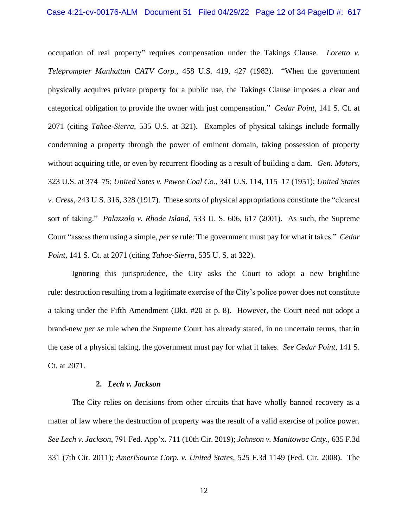occupation of real property" requires compensation under the Takings Clause. *Loretto v. Teleprompter Manhattan CATV Corp.,* 458 U.S. 419, 427 (1982). "When the government physically acquires private property for a public use, the Takings Clause imposes a clear and categorical obligation to provide the owner with just compensation." *Cedar Point*, 141 S. Ct. at 2071 (citing *Tahoe-Sierra*, 535 U.S. at 321). Examples of physical takings include formally condemning a property through the power of eminent domain, taking possession of property without acquiring title, or even by recurrent flooding as a result of building a dam. *Gen. Motors*, 323 U.S. at 374–75; *United Sates v. Pewee Coal Co.*, 341 U.S. 114, 115–17 (1951); *United States v. Cress*, 243 U.S. 316, 328 (1917). These sorts of physical appropriations constitute the "clearest sort of taking." *Palazzolo v. Rhode Island*, 533 U. S. 606, 617 (2001). As such, the Supreme Court "assess them using a simple, *per se* rule: The government must pay for what it takes." *Cedar Point*, 141 S. Ct. at 2071 (citing *Tahoe-Sierra*, 535 U. S. at 322).

Ignoring this jurisprudence, the City asks the Court to adopt a new brightline rule: destruction resulting from a legitimate exercise of the City's police power does not constitute a taking under the Fifth Amendment (Dkt. #20 at p. 8). However, the Court need not adopt a brand-new *per se* rule when the Supreme Court has already stated, in no uncertain terms, that in the case of a physical taking, the government must pay for what it takes. *See Cedar Point*, 141 S. Ct. at 2071.

#### **2.** *Lech v. Jackson*

The City relies on decisions from other circuits that have wholly banned recovery as a matter of law where the destruction of property was the result of a valid exercise of police power. *See Lech v. Jackson*, 791 Fed. App'x. 711 (10th Cir. 2019); *Johnson v. Manitowoc Cnty.*, 635 F.3d 331 (7th Cir. 2011); *AmeriSource Corp. v. United States*, 525 F.3d 1149 (Fed. Cir. 2008). The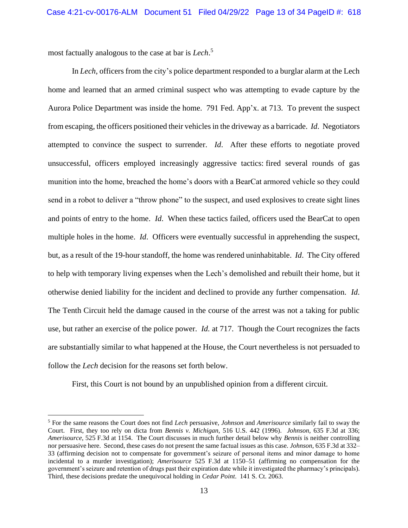most factually analogous to the case at bar is *Lech*. 5

In *Lech*, officers from the city's police department responded to a burglar alarm at the Lech home and learned that an armed criminal suspect who was attempting to evade capture by the Aurora Police Department was inside the home. 791 Fed. App'x. at 713. To prevent the suspect from escaping, the officers positioned their vehicles in the driveway as a barricade. *Id*. Negotiators attempted to convince the suspect to surrender. *Id*. After these efforts to negotiate proved unsuccessful, officers employed increasingly aggressive tactics: fired several rounds of gas munition into the home, breached the home's doors with a BearCat armored vehicle so they could send in a robot to deliver a "throw phone" to the suspect, and used explosives to create sight lines and points of entry to the home. *Id*. When these tactics failed, officers used the BearCat to open multiple holes in the home. *Id*. Officers were eventually successful in apprehending the suspect, but, as a result of the 19-hour standoff, the home was rendered uninhabitable. *Id*. The City offered to help with temporary living expenses when the Lech's demolished and rebuilt their home, but it otherwise denied liability for the incident and declined to provide any further compensation. *Id*. The Tenth Circuit held the damage caused in the course of the arrest was not a taking for public use, but rather an exercise of the police power. *Id.* at 717. Though the Court recognizes the facts are substantially similar to what happened at the House, the Court nevertheless is not persuaded to follow the *Lech* decision for the reasons set forth below.

First, this Court is not bound by an unpublished opinion from a different circuit.

<sup>5</sup> For the same reasons the Court does not find *Lech* persuasive, *Johnson* and *Amerisource* similarly fail to sway the Court. First, they too rely on dicta from *Bennis v. Michigan*, 516 U.S. 442 (1996). *Johnson*, 635 F.3d at 336; *Amerisource*, 525 F.3d at 1154. The Court discusses in much further detail below why *Bennis* is neither controlling nor persuasive here. Second, these cases do not present the same factual issues as this case. *Johnson*, 635 F.3d at 332– 33 (affirming decision not to compensate for government's seizure of personal items and minor damage to home incidental to a murder investigation); *Amerisource* 525 F.3d at 1150–51 (affirming no compensation for the government's seizure and retention of drugs past their expiration date while it investigated the pharmacy's principals). Third, these decisions predate the unequivocal holding in *Cedar Point*. 141 S. Ct. 2063.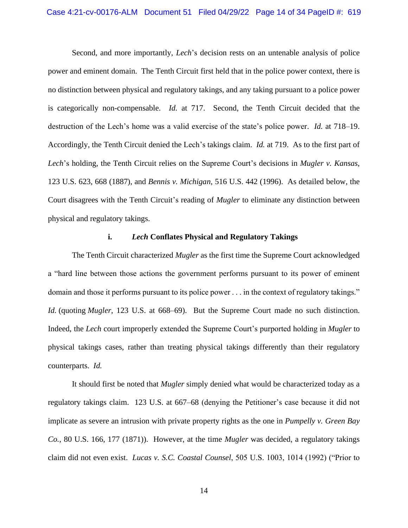Second, and more importantly, *Lech*'s decision rests on an untenable analysis of police power and eminent domain. The Tenth Circuit first held that in the police power context, there is no distinction between physical and regulatory takings, and any taking pursuant to a police power is categorically non-compensable. *Id.* at 717. Second, the Tenth Circuit decided that the destruction of the Lech's home was a valid exercise of the state's police power. *Id.* at 718–19. Accordingly, the Tenth Circuit denied the Lech's takings claim. *Id.* at 719. As to the first part of *Lech*'s holding, the Tenth Circuit relies on the Supreme Court's decisions in *Mugler v. Kansas*, 123 U.S. 623, 668 (1887), and *Bennis v. Michigan*, 516 U.S. 442 (1996). As detailed below, the Court disagrees with the Tenth Circuit's reading of *Mugler* to eliminate any distinction between physical and regulatory takings.

### **i.** *Lech* **Conflates Physical and Regulatory Takings**

The Tenth Circuit characterized *Mugler* as the first time the Supreme Court acknowledged a "hard line between those actions the government performs pursuant to its power of eminent domain and those it performs pursuant to its police power . . . in the context of regulatory takings." *Id.* (quoting *Mugler*, 123 U.S. at 668–69). But the Supreme Court made no such distinction. Indeed, the *Lech* court improperly extended the Supreme Court's purported holding in *Mugler* to physical takings cases, rather than treating physical takings differently than their regulatory counterparts. *Id.* 

It should first be noted that *Mugler* simply denied what would be characterized today as a regulatory takings claim. 123 U.S. at 667–68 (denying the Petitioner's case because it did not implicate as severe an intrusion with private property rights as the one in *Pumpelly v. Green Bay Co.*, 80 U.S. 166, 177 (1871)). However, at the time *Mugler* was decided, a regulatory takings claim did not even exist. *Lucas v. S.C. Coastal Counsel*, 505 U.S. 1003, 1014 (1992) ("Prior to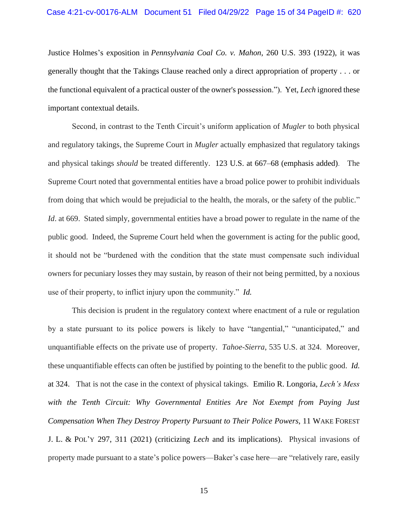Justice Holmes's exposition in *Pennsylvania Coal Co. v. Mahon*, 260 U.S. 393 (1922), it was generally thought that the Takings Clause reached only a direct appropriation of property . . . or the functional equivalent of a practical ouster of the owner's possession."). Yet, *Lech* ignored these important contextual details.

Second, in contrast to the Tenth Circuit's uniform application of *Mugler* to both physical and regulatory takings, the Supreme Court in *Mugler* actually emphasized that regulatory takings and physical takings *should* be treated differently. 123 U.S. at 667–68 (emphasis added). The Supreme Court noted that governmental entities have a broad police power to prohibit individuals from doing that which would be prejudicial to the health, the morals, or the safety of the public." *Id.* at 669. Stated simply, governmental entities have a broad power to regulate in the name of the public good. Indeed, the Supreme Court held when the government is acting for the public good, it should not be "burdened with the condition that the state must compensate such individual owners for pecuniary losses they may sustain, by reason of their not being permitted, by a noxious use of their property, to inflict injury upon the community." *Id.*

This decision is prudent in the regulatory context where enactment of a rule or regulation by a state pursuant to its police powers is likely to have "tangential," "unanticipated," and unquantifiable effects on the private use of property. *Tahoe-Sierra*, 535 U.S. at 324. Moreover, these unquantifiable effects can often be justified by pointing to the benefit to the public good. *Id.*  at 324. That is not the case in the context of physical takings. Emilio R. Longoria, *Lech's Mess with the Tenth Circuit: Why Governmental Entities Are Not Exempt from Paying Just Compensation When They Destroy Property Pursuant to Their Police Powers*, 11 WAKE FOREST J. L. & POL'Y 297, 311 (2021) (criticizing *Lech* and its implications). Physical invasions of property made pursuant to a state's police powers—Baker's case here—are "relatively rare, easily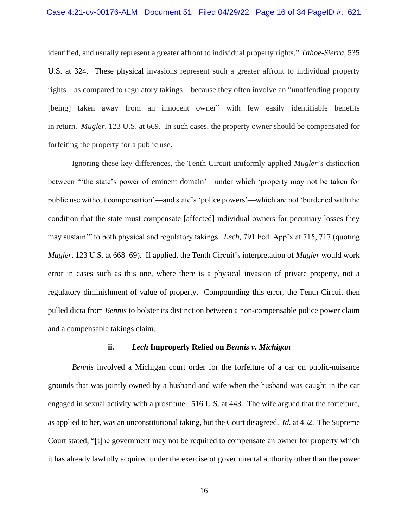identified, and usually represent a greater affront to individual property rights," *Tahoe-Sierra*, 535 U.S. at 324. These physical invasions represent such a greater affront to individual property rights—as compared to regulatory takings—because they often involve an "unoffending property [being] taken away from an innocent owner" with few easily identifiable benefits in return. *Mugler*, 123 U.S. at 669. In such cases, the property owner should be compensated for forfeiting the property for a public use.

Ignoring these key differences, the Tenth Circuit uniformly applied *Mugler*'s distinction between "'the state's power of eminent domain'—under which 'property may not be taken for public use without compensation'—and state's 'police powers'—which are not 'burdened with the condition that the state must compensate [affected] individual owners for pecuniary losses they may sustain'" to both physical and regulatory takings. *Lech*, 791 Fed. App'x at 715, 717 (quoting *Mugler*, 123 U.S. at 668–69). If applied, the Tenth Circuit's interpretation of *Mugler* would work error in cases such as this one, where there is a physical invasion of private property, not a regulatory diminishment of value of property. Compounding this error, the Tenth Circuit then pulled dicta from *Bennis* to bolster its distinction between a non-compensable police power claim and a compensable takings claim.

### **ii.** *Lech* **Improperly Relied on** *Bennis v. Michigan*

*Bennis* involved a Michigan court order for the forfeiture of a car on public-nuisance grounds that was jointly owned by a husband and wife when the husband was caught in the car engaged in sexual activity with a prostitute. 516 U.S. at 443. The wife argued that the forfeiture, as applied to her, was an unconstitutional taking, but the Court disagreed. *Id.* at 452. The Supreme Court stated, "[t]he government may not be required to compensate an owner for property which it has already lawfully acquired under the exercise of governmental authority other than the power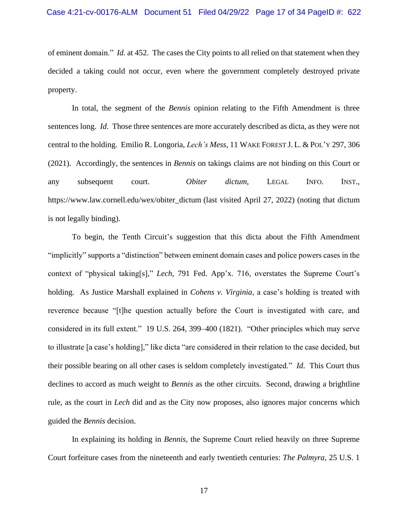of eminent domain." *Id.* at 452. The cases the City points to all relied on that statement when they decided a taking could not occur, even where the government completely destroyed private property.

In total, the segment of the *Bennis* opinion relating to the Fifth Amendment is three sentences long. *Id*. Those three sentences are more accurately described as dicta, as they were not central to the holding. Emilio R. Longoria, *Lech's Mess*, 11 WAKE FOREST J. L. & POL'Y 297, 306 (2021). Accordingly, the sentences in *Bennis* on takings claims are not binding on this Court or any subsequent court. *Obiter dictum*, LEGAL INFO. INST., https://www.law.cornell.edu/wex/obiter\_dictum (last visited April 27, 2022) (noting that dictum is not legally binding).

To begin, the Tenth Circuit's suggestion that this dicta about the Fifth Amendment "implicitly" supports a "distinction" between eminent domain cases and police powers cases in the context of "physical taking[s]," *Lech*, 791 Fed. App'x. 716, overstates the Supreme Court's holding. As Justice Marshall explained in *Cohens v. Virginia*, a case's holding is treated with reverence because "[t]he question actually before the Court is investigated with care, and considered in its full extent." 19 U.S. 264, 399–400 (1821). "Other principles which may serve to illustrate [a case's holding]," like dicta "are considered in their relation to the case decided, but their possible bearing on all other cases is seldom completely investigated." *Id*. This Court thus declines to accord as much weight to *Bennis* as the other circuits. Second, drawing a brightline rule, as the court in *Lech* did and as the City now proposes, also ignores major concerns which guided the *Bennis* decision.

In explaining its holding in *Bennis*, the Supreme Court relied heavily on three Supreme Court forfeiture cases from the nineteenth and early twentieth centuries: *The Palmyra*, 25 U.S. 1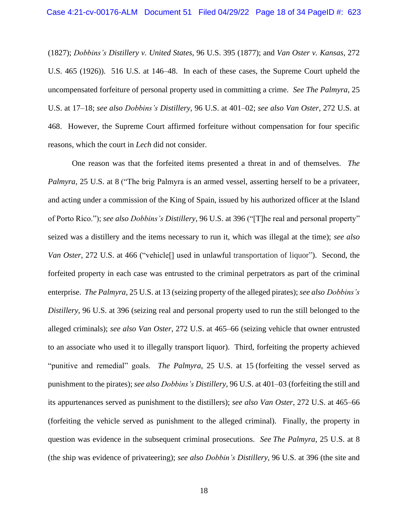(1827); *Dobbins's Distillery v. United States*, 96 U.S. 395 (1877); and *Van Oster v. Kansas*, 272 U.S. 465 (1926)). 516 U.S. at 146–48. In each of these cases, the Supreme Court upheld the uncompensated forfeiture of personal property used in committing a crime. *See The Palmyra*, 25 U.S. at 17–18; *see also Dobbins's Distillery*, 96 U.S. at 401–02; *see also Van Oster*, 272 U.S. at 468. However, the Supreme Court affirmed forfeiture without compensation for four specific reasons, which the court in *Lech* did not consider.

One reason was that the forfeited items presented a threat in and of themselves. *The Palmyra*, 25 U.S. at 8 ("The brig Palmyra is an armed vessel, asserting herself to be a privateer, and acting under a commission of the King of Spain, issued by his authorized officer at the Island of Porto Rico."); *see also Dobbins's Distillery*, 96 U.S. at 396 ("[T]he real and personal property" seized was a distillery and the items necessary to run it, which was illegal at the time); *see also Van Oster*, 272 U.S. at 466 ("vehicle<sup>[]</sup> used in unlawful transportation of liquor"). Second, the forfeited property in each case was entrusted to the criminal perpetrators as part of the criminal enterprise. *The Palmyra*, 25 U.S. at 13 (seizing property of the alleged pirates); *see also Dobbins's Distillery*, 96 U.S. at 396 (seizing real and personal property used to run the still belonged to the alleged criminals); *see also Van Oster*, 272 U.S. at 465–66 (seizing vehicle that owner entrusted to an associate who used it to illegally transport liquor). Third, forfeiting the property achieved "punitive and remedial" goals. *The Palmyra*, 25 U.S. at 15 (forfeiting the vessel served as punishment to the pirates); *see also Dobbins's Distillery*, 96 U.S. at 401–03 (forfeiting the still and its appurtenances served as punishment to the distillers); *see also Van Oster*, 272 U.S. at 465–66 (forfeiting the vehicle served as punishment to the alleged criminal). Finally, the property in question was evidence in the subsequent criminal prosecutions. *See The Palmyra*, 25 U.S. at 8 (the ship was evidence of privateering); *see also Dobbin's Distillery*, 96 U.S. at 396 (the site and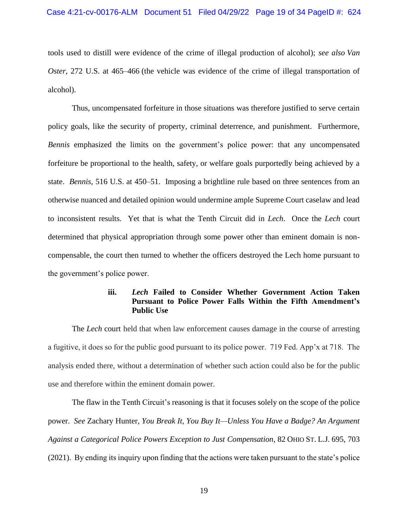tools used to distill were evidence of the crime of illegal production of alcohol); *see also Van Oster*, 272 U.S. at 465–466 (the vehicle was evidence of the crime of illegal transportation of alcohol).

Thus, uncompensated forfeiture in those situations was therefore justified to serve certain policy goals, like the security of property, criminal deterrence, and punishment. Furthermore, *Bennis* emphasized the limits on the government's police power: that any uncompensated forfeiture be proportional to the health, safety, or welfare goals purportedly being achieved by a state. *Bennis*, 516 U.S. at 450–51. Imposing a brightline rule based on three sentences from an otherwise nuanced and detailed opinion would undermine ample Supreme Court caselaw and lead to inconsistent results. Yet that is what the Tenth Circuit did in *Lech*. Once the *Lech* court determined that physical appropriation through some power other than eminent domain is noncompensable, the court then turned to whether the officers destroyed the Lech home pursuant to the government's police power.

# **iii.** *Lech* **Failed to Consider Whether Government Action Taken Pursuant to Police Power Falls Within the Fifth Amendment's Public Use**

The *Lech* court held that when law enforcement causes damage in the course of arresting a fugitive, it does so for the public good pursuant to its police power. 719 Fed. App'x at 718. The analysis ended there, without a determination of whether such action could also be for the public use and therefore within the eminent domain power.

The flaw in the Tenth Circuit's reasoning is that it focuses solely on the scope of the police power. *See* Zachary Hunter, *You Break It, You Buy It—Unless You Have a Badge? An Argument Against a Categorical Police Powers Exception to Just Compensation*, 82 OHIO ST. L.J. 695, 703 (2021). By ending its inquiry upon finding that the actions were taken pursuant to the state's police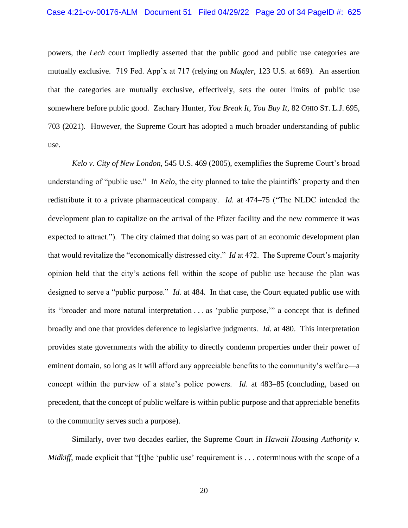powers, the *Lech* court impliedly asserted that the public good and public use categories are mutually exclusive. 719 Fed. App'x at 717 (relying on *Mugler*, 123 U.S. at 669)*.* An assertion that the categories are mutually exclusive, effectively, sets the outer limits of public use somewhere before public good. Zachary Hunter, *You Break It, You Buy It*, 82 OHIO ST. L.J. 695, 703 (2021). However, the Supreme Court has adopted a much broader understanding of public use.

*Kelo v. City of New London*, 545 U.S. 469 (2005), exemplifies the Supreme Court's broad understanding of "public use." In *Kelo*, the city planned to take the plaintiffs' property and then redistribute it to a private pharmaceutical company. *Id.* at 474–75 ("The NLDC intended the development plan to capitalize on the arrival of the Pfizer facility and the new commerce it was expected to attract."). The city claimed that doing so was part of an economic development plan that would revitalize the "economically distressed city." *Id* at 472. The Supreme Court's majority opinion held that the city's actions fell within the scope of public use because the plan was designed to serve a "public purpose." *Id.* at 484. In that case, the Court equated public use with its "broader and more natural interpretation . . . as 'public purpose,'" a concept that is defined broadly and one that provides deference to legislative judgments. *Id*. at 480. This interpretation provides state governments with the ability to directly condemn properties under their power of eminent domain, so long as it will afford any appreciable benefits to the community's welfare—a concept within the purview of a state's police powers. *Id*. at 483–85 (concluding, based on precedent, that the concept of public welfare is within public purpose and that appreciable benefits to the community serves such a purpose).

Similarly, over two decades earlier, the Supreme Court in *Hawaii Housing Authority v. Midkiff*, made explicit that "[t]he 'public use' requirement is . . . coterminous with the scope of a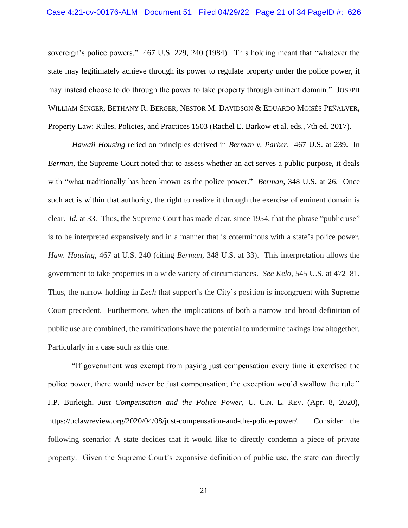sovereign's police powers." 467 U.S. 229, 240 (1984). This holding meant that "whatever the state may legitimately achieve through its power to regulate property under the police power, it may instead choose to do through the power to take property through eminent domain." JOSEPH WILLIAM SINGER, BETHANY R. BERGER, NESTOR M. DAVIDSON & EDUARDO MOISÉS PEÑALVER, Property Law: Rules, Policies, and Practices 1503 (Rachel E. Barkow et al. eds., 7th ed. 2017).

*Hawaii Housing* relied on principles derived in *Berman v. Parker*. 467 U.S. at 239. In *Berman*, the Supreme Court noted that to assess whether an act serves a public purpose, it deals with "what traditionally has been known as the police power." *Berman*, 348 U.S. at 26. Once such act is within that authority, the right to realize it through the exercise of eminent domain is clear. *Id*. at 33. Thus, the Supreme Court has made clear, since 1954, that the phrase "public use" is to be interpreted expansively and in a manner that is coterminous with a state's police power. *Haw. Housing*, 467 at U.S. 240 (citing *Berman*, 348 U.S. at 33). This interpretation allows the government to take properties in a wide variety of circumstances. *See Kelo*, 545 U.S. at 472–81. Thus, the narrow holding in *Lech* that support's the City's position is incongruent with Supreme Court precedent. Furthermore, when the implications of both a narrow and broad definition of public use are combined, the ramifications have the potential to undermine takings law altogether. Particularly in a case such as this one.

"If government was exempt from paying just compensation every time it exercised the police power, there would never be just compensation; the exception would swallow the rule." J.P. Burleigh, *Just Compensation and the Police Power*, U. CIN. L. REV. (Apr. 8, 2020), https://uclawreview.org/2020/04/08/just-compensation-and-the-police-power/. Consider the following scenario: A state decides that it would like to directly condemn a piece of private property. Given the Supreme Court's expansive definition of public use, the state can directly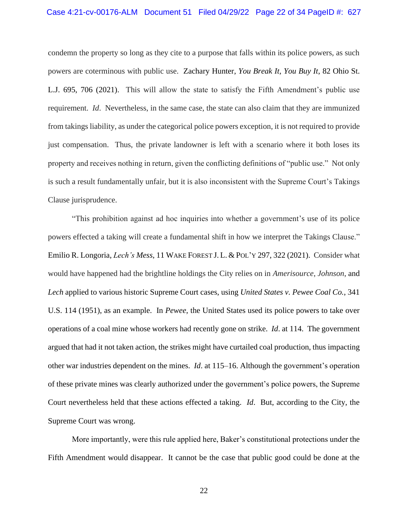condemn the property so long as they cite to a purpose that falls within its police powers, as such powers are coterminous with public use. Zachary Hunter, *You Break It, You Buy It*, 82 Ohio St. L.J. 695, 706 (2021). This will allow the state to satisfy the Fifth Amendment's public use requirement. *Id*. Nevertheless, in the same case, the state can also claim that they are immunized from takings liability, as under the categorical police powers exception, it is not required to provide just compensation. Thus, the private landowner is left with a scenario where it both loses its property and receives nothing in return, given the conflicting definitions of "public use." Not only is such a result fundamentally unfair, but it is also inconsistent with the Supreme Court's Takings Clause jurisprudence.

"This prohibition against ad hoc inquiries into whether a government's use of its police powers effected a taking will create a fundamental shift in how we interpret the Takings Clause." Emilio R. Longoria, *Lech's Mess*, 11 WAKE FOREST J. L. & POL'Y 297, 322 (2021). Consider what would have happened had the brightline holdings the City relies on in *Amerisource*, *Johnson*, and *Lech* applied to various historic Supreme Court cases, using *United States v. Pewee Coal Co.*, 341 U.S. 114 (1951), as an example. In *Pewee*, the United States used its police powers to take over operations of a coal mine whose workers had recently gone on strike. *Id*. at 114. The government argued that had it not taken action, the strikes might have curtailed coal production, thus impacting other war industries dependent on the mines. *Id*. at 115–16. Although the government's operation of these private mines was clearly authorized under the government's police powers, the Supreme Court nevertheless held that these actions effected a taking. *Id*. But, according to the City, the Supreme Court was wrong.

More importantly, were this rule applied here, Baker's constitutional protections under the Fifth Amendment would disappear. It cannot be the case that public good could be done at the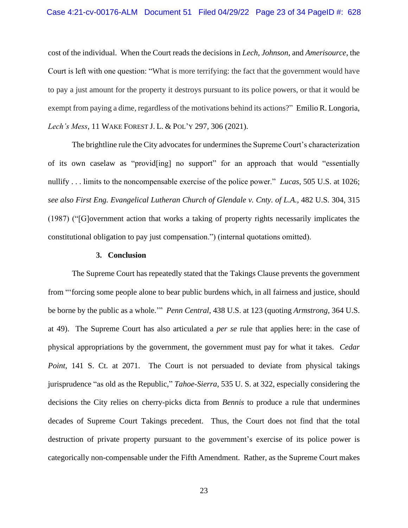#### Case 4:21-cv-00176-ALM Document 51 Filed 04/29/22 Page 23 of 34 PageID #: 628

cost of the individual. When the Court reads the decisions in *Lech*, *Johnson*, and *Amerisource*, the Court is left with one question: "What is more terrifying: the fact that the government would have to pay a just amount for the property it destroys pursuant to its police powers, or that it would be exempt from paying a dime, regardless of the motivations behind its actions?" Emilio R. Longoria, *Lech's Mess*, 11 WAKE FOREST J. L. & POL'Y 297, 306 (2021).

The brightline rule the City advocates for undermines the Supreme Court's characterization of its own caselaw as "provid[ing] no support" for an approach that would "essentially nullify . . . limits to the noncompensable exercise of the police power." *Lucas*, 505 U.S. at 1026; *see also First Eng. Evangelical Lutheran Church of Glendale v. Cnty. of L.A.*, 482 U.S. 304, 315 (1987) ("[G]overnment action that works a taking of property rights necessarily implicates the constitutional obligation to pay just compensation.") (internal quotations omitted).

#### **3. Conclusion**

The Supreme Court has repeatedly stated that the Takings Clause prevents the government from "'forcing some people alone to bear public burdens which, in all fairness and justice, should be borne by the public as a whole.'" *Penn Central*, 438 U.S. at 123 (quoting *Armstrong*, 364 U.S. at 49). The Supreme Court has also articulated a *per se* rule that applies here: in the case of physical appropriations by the government, the government must pay for what it takes. *Cedar Point*, 141 S. Ct. at 2071. The Court is not persuaded to deviate from physical takings jurisprudence "as old as the Republic," *Tahoe-Sierra*, 535 U. S. at 322, especially considering the decisions the City relies on cherry-picks dicta from *Bennis* to produce a rule that undermines decades of Supreme Court Takings precedent. Thus, the Court does not find that the total destruction of private property pursuant to the government's exercise of its police power is categorically non-compensable under the Fifth Amendment. Rather, as the Supreme Court makes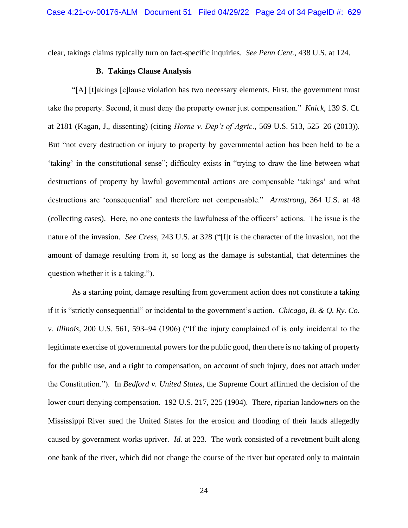clear, takings claims typically turn on fact-specific inquiries. *See Penn Cent.*, 438 U.S. at 124.

### **B. Takings Clause Analysis**

"[A] [t]akings [c]lause violation has two necessary elements. First, the government must take the property. Second, it must deny the property owner just compensation." *Knick*, 139 S. Ct. at 2181 (Kagan, J., dissenting) (citing *Horne v. Dep't of Agric.*, 569 U.S. 513, 525–26 (2013)). But "not every destruction or injury to property by governmental action has been held to be a 'taking' in the constitutional sense"; difficulty exists in "trying to draw the line between what destructions of property by lawful governmental actions are compensable 'takings' and what destructions are 'consequential' and therefore not compensable." *Armstrong*, 364 U.S. at 48 (collecting cases). Here, no one contests the lawfulness of the officers' actions. The issue is the nature of the invasion. *See Cress*, 243 U.S. at 328 ("[I]t is the character of the invasion, not the amount of damage resulting from it, so long as the damage is substantial, that determines the question whether it is a taking.").

As a starting point, damage resulting from government action does not constitute a taking if it is "strictly consequential" or incidental to the government's action. *Chicago, B. & Q. Ry. Co. v. Illinois*, 200 U.S. 561, 593–94 (1906) ("If the injury complained of is only incidental to the legitimate exercise of governmental powers for the public good, then there is no taking of property for the public use, and a right to compensation, on account of such injury, does not attach under the Constitution."). In *Bedford v. United States*, the Supreme Court affirmed the decision of the lower court denying compensation. 192 U.S. 217, 225 (1904). There, riparian landowners on the Mississippi River sued the United States for the erosion and flooding of their lands allegedly caused by government works upriver. *Id.* at 223. The work consisted of a revetment built along one bank of the river, which did not change the course of the river but operated only to maintain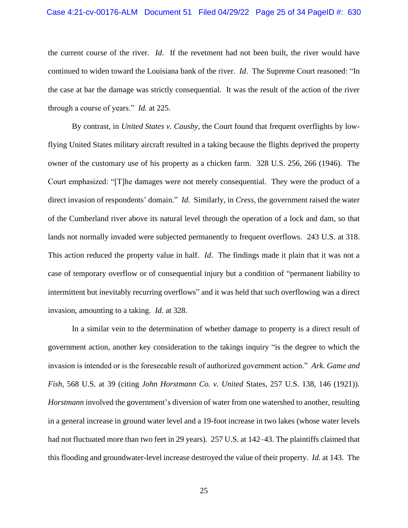the current course of the river. *Id*. If the revetment had not been built, the river would have continued to widen toward the Louisiana bank of the river. *Id*. The Supreme Court reasoned: "In the case at bar the damage was strictly consequential. It was the result of the action of the river through a course of years." *Id.* at 225.

By contrast, in *United States v. Causby*, the Court found that frequent overflights by lowflying United States military aircraft resulted in a taking because the flights deprived the property owner of the customary use of his property as a chicken farm. 328 U.S. 256, 266 (1946). The Court emphasized: "[T]he damages were not merely consequential. They were the product of a direct invasion of respondents' domain." *Id*. Similarly, in *Cress*, the government raised the water of the Cumberland river above its natural level through the operation of a lock and dam, so that lands not normally invaded were subjected permanently to frequent overflows. 243 U.S. at 318. This action reduced the property value in half. *Id*. The findings made it plain that it was not a case of temporary overflow or of consequential injury but a condition of "permanent liability to intermittent but inevitably recurring overflows" and it was held that such overflowing was a direct invasion, amounting to a taking. *Id.* at 328.

In a similar vein to the determination of whether damage to property is a direct result of government action, another key consideration to the takings inquiry "is the degree to which the invasion is intended or is the foreseeable result of authorized government action." *Ark. Game and Fish*, 568 U.S. at 39 (citing *John Horstmann Co. v. United* States, 257 U.S. 138, 146 (1921)). *Horstmann* involved the government's diversion of water from one watershed to another, resulting in a general increase in ground water level and a 19-foot increase in two lakes (whose water levels had not fluctuated more than two feet in 29 years). 257 U.S. at 142–43. The plaintiffs claimed that this flooding and groundwater-level increase destroyed the value of their property. *Id.* at 143. The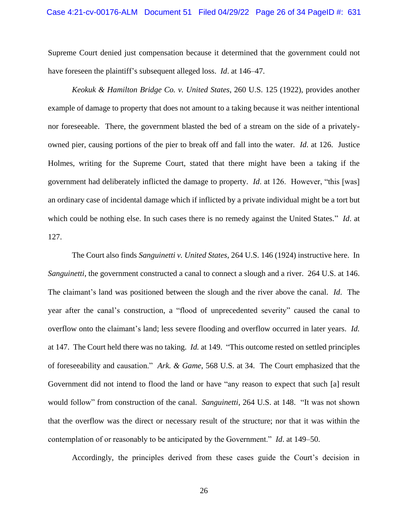Supreme Court denied just compensation because it determined that the government could not have foreseen the plaintiff's subsequent alleged loss. *Id*. at 146–47.

*Keokuk & Hamilton Bridge Co. v. United States*, 260 U.S. 125 (1922), provides another example of damage to property that does not amount to a taking because it was neither intentional nor foreseeable. There, the government blasted the bed of a stream on the side of a privatelyowned pier, causing portions of the pier to break off and fall into the water. *Id*. at 126. Justice Holmes, writing for the Supreme Court, stated that there might have been a taking if the government had deliberately inflicted the damage to property. *Id*. at 126. However, "this [was] an ordinary case of incidental damage which if inflicted by a private individual might be a tort but which could be nothing else. In such cases there is no remedy against the United States." *Id*. at 127.

The Court also finds *Sanguinetti v. United States*, 264 U.S. 146 (1924) instructive here. In *Sanguinetti*, the government constructed a canal to connect a slough and a river. 264 U.S. at 146. The claimant's land was positioned between the slough and the river above the canal. *Id*. The year after the canal's construction, a "flood of unprecedented severity" caused the canal to overflow onto the claimant's land; less severe flooding and overflow occurred in later years. *Id.* at 147. The Court held there was no taking. *Id.* at 149. "This outcome rested on settled principles of foreseeability and causation." *Ark. & Game*, 568 U.S. at 34. The Court emphasized that the Government did not intend to flood the land or have "any reason to expect that such [a] result would follow" from construction of the canal. *Sanguinetti*, 264 U.S. at 148. "It was not shown that the overflow was the direct or necessary result of the structure; nor that it was within the contemplation of or reasonably to be anticipated by the Government." *Id*. at 149–50.

Accordingly, the principles derived from these cases guide the Court's decision in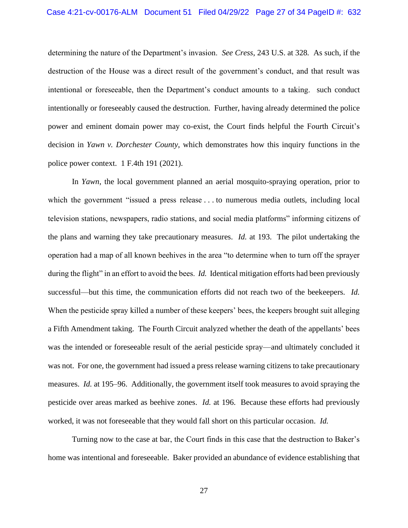determining the nature of the Department's invasion. *See Cress*, 243 U.S. at 328*.* As such, if the destruction of the House was a direct result of the government's conduct, and that result was intentional or foreseeable, then the Department's conduct amounts to a taking. such conduct intentionally or foreseeably caused the destruction. Further, having already determined the police power and eminent domain power may co-exist, the Court finds helpful the Fourth Circuit's decision in *Yawn v. Dorchester County*, which demonstrates how this inquiry functions in the police power context. 1 F.4th 191 (2021).

In *Yawn*, the local government planned an aerial mosquito-spraying operation, prior to which the government "issued a press release . . . to numerous media outlets, including local television stations, newspapers, radio stations, and social media platforms" informing citizens of the plans and warning they take precautionary measures. *Id.* at 193. The pilot undertaking the operation had a map of all known beehives in the area "to determine when to turn off the sprayer during the flight" in an effort to avoid the bees. *Id.* Identical mitigation efforts had been previously successful—but this time, the communication efforts did not reach two of the beekeepers. *Id.* When the pesticide spray killed a number of these keepers' bees, the keepers brought suit alleging a Fifth Amendment taking. The Fourth Circuit analyzed whether the death of the appellants' bees was the intended or foreseeable result of the aerial pesticide spray—and ultimately concluded it was not. For one, the government had issued a press release warning citizens to take precautionary measures. *Id.* at 195–96. Additionally, the government itself took measures to avoid spraying the pesticide over areas marked as beehive zones. *Id.* at 196. Because these efforts had previously worked, it was not foreseeable that they would fall short on this particular occasion. *Id.* 

Turning now to the case at bar, the Court finds in this case that the destruction to Baker's home was intentional and foreseeable. Baker provided an abundance of evidence establishing that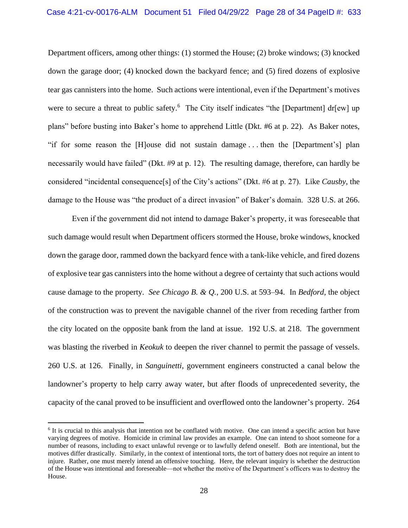Department officers, among other things: (1) stormed the House; (2) broke windows; (3) knocked down the garage door; (4) knocked down the backyard fence; and (5) fired dozens of explosive tear gas cannisters into the home. Such actions were intentional, even if the Department's motives were to secure a threat to public safety.<sup>6</sup> The City itself indicates "the [Department] dr[ew] up plans" before busting into Baker's home to apprehend Little (Dkt. #6 at p. 22). As Baker notes, "if for some reason the [H]ouse did not sustain damage . . . then the [Department's] plan necessarily would have failed" (Dkt. #9 at p. 12). The resulting damage, therefore, can hardly be considered "incidental consequence[s] of the City's actions" (Dkt. #6 at p. 27). Like *Causby*, the damage to the House was "the product of a direct invasion" of Baker's domain. 328 U.S. at 266.

Even if the government did not intend to damage Baker's property, it was foreseeable that such damage would result when Department officers stormed the House, broke windows, knocked down the garage door, rammed down the backyard fence with a tank-like vehicle, and fired dozens of explosive tear gas cannisters into the home without a degree of certainty that such actions would cause damage to the property. *See Chicago B. & Q.*, 200 U.S. at 593–94. In *Bedford*, the object of the construction was to prevent the navigable channel of the river from receding farther from the city located on the opposite bank from the land at issue. 192 U.S. at 218. The government was blasting the riverbed in *Keokuk* to deepen the river channel to permit the passage of vessels. 260 U.S. at 126. Finally, in *Sanguinetti*, government engineers constructed a canal below the landowner's property to help carry away water, but after floods of unprecedented severity, the capacity of the canal proved to be insufficient and overflowed onto the landowner's property. 264

<sup>&</sup>lt;sup>6</sup> It is crucial to this analysis that intention not be conflated with motive. One can intend a specific action but have varying degrees of motive. Homicide in criminal law provides an example. One can intend to shoot someone for a number of reasons, including to exact unlawful revenge or to lawfully defend oneself. Both are intentional, but the motives differ drastically. Similarly, in the context of intentional torts, the tort of battery does not require an intent to injure. Rather, one must merely intend an offensive touching. Here, the relevant inquiry is whether the destruction of the House was intentional and foreseeable—not whether the motive of the Department's officers was to destroy the House.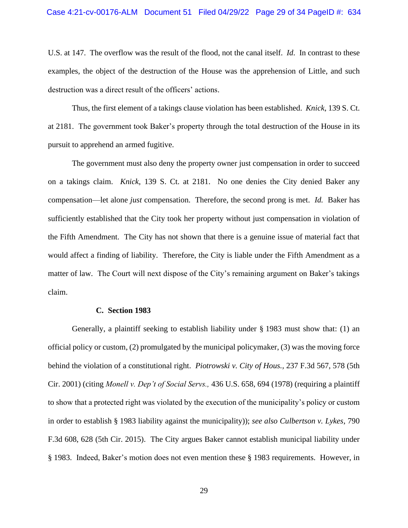U.S. at 147. The overflow was the result of the flood, not the canal itself. *Id*. In contrast to these examples, the object of the destruction of the House was the apprehension of Little, and such destruction was a direct result of the officers' actions.

Thus, the first element of a takings clause violation has been established. *Knick*, 139 S. Ct. at 2181. The government took Baker's property through the total destruction of the House in its pursuit to apprehend an armed fugitive.

The government must also deny the property owner just compensation in order to succeed on a takings claim. *Knick*, 139 S. Ct. at 2181. No one denies the City denied Baker any compensation—let alone *just* compensation. Therefore, the second prong is met. *Id.* Baker has sufficiently established that the City took her property without just compensation in violation of the Fifth Amendment. The City has not shown that there is a genuine issue of material fact that would affect a finding of liability. Therefore, the City is liable under the Fifth Amendment as a matter of law. The Court will next dispose of the City's remaining argument on Baker's takings claim.

#### **C. Section 1983**

Generally, a plaintiff seeking to establish liability under § 1983 must show that: (1) an official policy or custom, (2) promulgated by the municipal policymaker, (3) was the moving force behind the violation of a constitutional right. *Piotrowski v. City of Hous.,* 237 F.3d 567, 578 (5th Cir. 2001) (citing *Monell v. Dep't of Social Servs.,* 436 U.S. 658, 694 (1978) (requiring a plaintiff to show that a protected right was violated by the execution of the municipality's policy or custom in order to establish § 1983 liability against the municipality)); *see also Culbertson v. Lykes*, 790 F.3d 608, 628 (5th Cir. 2015). The City argues Baker cannot establish municipal liability under § 1983. Indeed, Baker's motion does not even mention these § 1983 requirements. However, in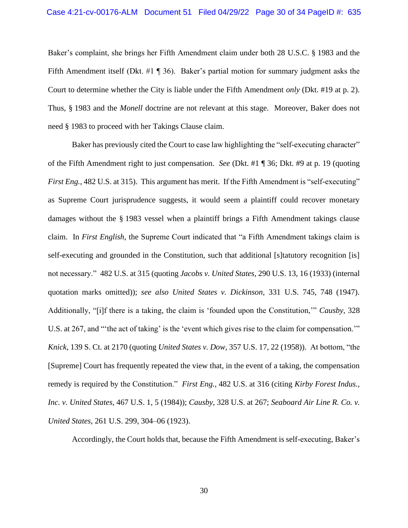Baker's complaint, she brings her Fifth Amendment claim under both 28 U.S.C. § 1983 and the Fifth Amendment itself (Dkt. #1 ¶ 36). Baker's partial motion for summary judgment asks the Court to determine whether the City is liable under the Fifth Amendment *only* (Dkt. #19 at p. 2). Thus, § 1983 and the *Monell* doctrine are not relevant at this stage. Moreover, Baker does not need § 1983 to proceed with her Takings Clause claim.

Baker has previously cited the Court to case law highlighting the "self-executing character" of the Fifth Amendment right to just compensation. *See* (Dkt. #1 ¶ 36; Dkt. #9 at p. 19 (quoting *First Eng.*, 482 U.S. at 315). This argument has merit. If the Fifth Amendment is "self-executing" as Supreme Court jurisprudence suggests, it would seem a plaintiff could recover monetary damages without the § 1983 vessel when a plaintiff brings a Fifth Amendment takings clause claim. In *First English*, the Supreme Court indicated that "a Fifth Amendment takings claim is self-executing and grounded in the Constitution, such that additional [s]tatutory recognition [is] not necessary." 482 U.S. at 315 (quoting *Jacobs v. United States*, 290 U.S. 13, 16 (1933) (internal quotation marks omitted)); *see also United States v. Dickinson*, 331 U.S. 745, 748 (1947). Additionally, "[i]f there is a taking, the claim is 'founded upon the Constitution,'" *Causby*, 328 U.S. at 267, and "'the act of taking' is the 'event which gives rise to the claim for compensation.'" *Knick*, 139 S. Ct. at 2170 (quoting *United States v. Dow*, 357 U.S. 17, 22 (1958)). At bottom, "the [Supreme] Court has frequently repeated the view that, in the event of a taking, the compensation remedy is required by the Constitution." *First Eng.*, 482 U.S. at 316 (citing *Kirby Forest Indus., Inc. v. United States*, 467 U.S. 1, 5 (1984)); *Causby*, 328 U.S. at 267; *Seaboard Air Line R. Co. v. United States*, 261 U.S. 299, 304–06 (1923).

Accordingly, the Court holds that, because the Fifth Amendment is self-executing, Baker's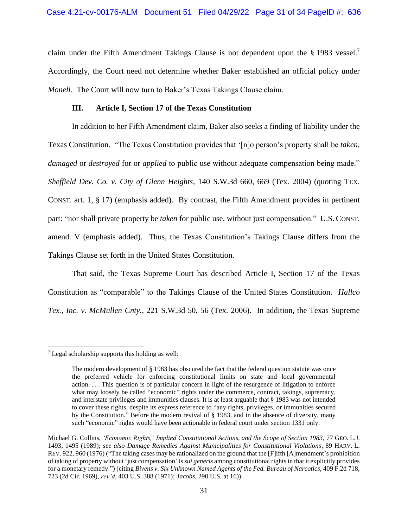claim under the Fifth Amendment Takings Clause is not dependent upon the § 1983 vessel.<sup>7</sup> Accordingly, the Court need not determine whether Baker established an official policy under *Monell.* The Court will now turn to Baker's Texas Takings Clause claim.

### **III. Article I, Section 17 of the Texas Constitution**

In addition to her Fifth Amendment claim, Baker also seeks a finding of liability under the Texas Constitution. "The Texas Constitution provides that '[n]o person's property shall be *taken*, *damaged* or *destroyed* for or *applied* to public use without adequate compensation being made." *Sheffield Dev. Co. v. City of Glenn Heights*, 140 S.W.3d 660, 669 (Tex. 2004) (quoting TEX. CONST. art. 1, § 17) (emphasis added). By contrast, the Fifth Amendment provides in pertinent part: "nor shall private property be *taken* for public use, without just compensation." U.S. CONST. amend. V (emphasis added). Thus, the Texas Constitution's Takings Clause differs from the Takings Clause set forth in the United States Constitution.

That said, the Texas Supreme Court has described Article I, Section 17 of the Texas Constitution as "comparable" to the Takings Clause of the United States Constitution. *Hallco Tex., Inc. v. McMullen Cnty.*, 221 S.W.3d 50, 56 (Tex. 2006). In addition, the Texas Supreme

<sup>7</sup> Legal scholarship supports this holding as well:

The modern development of § 1983 has obscured the fact that the federal question statute was once the preferred vehicle for enforcing constitutional limits on state and local governmental action. . . . This question is of particular concern in light of the resurgence of litigation to enforce what may loosely be called "economic" rights under the commerce, contract, takings, supremacy, and interstate privileges and immunities clauses. It is at least arguable that § 1983 was not intended to cover these rights, despite its express reference to "any rights, privileges, or immunities secured by the Constitution." Before the modern revival of § 1983, and in the absence of diversity, many such "economic" rights would have been actionable in federal court under section 1331 only.

Michael G. Collins, *'Economic Rights,' Implied Constitutional Actions, and the Scope of Section 1983*, 77 GEO. L.J. 1493, 1495 (1989); *see also Damage Remedies Against Municipalities for Constitutional Violations*, 89 HARV. L. REV. 922, 960 (1976) ("The taking cases may be rationalized on the ground that the [F]ifth [A]mendment's prohibition of taking of property without 'just compensation' is *sui generis* among constitutional rights in that it explicitly provides for a monetary remedy.") (citing *Bivens v. Six Unknown Named Agents of the Fed. Bureau of Narcotics*, 409 F.2d 718, 723 (2d Cir. 1969), *rev'd*, 403 U.S. 388 (1971); *Jacobs*, 290 U.S. at 16)).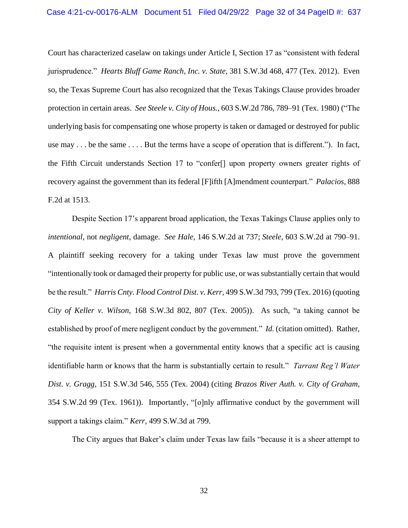Court has characterized caselaw on takings under Article I, Section 17 as "consistent with federal jurisprudence." *Hearts Bluff Game Ranch, Inc. v. State*, 381 S.W.3d 468, 477 (Tex. 2012). Even so, the Texas Supreme Court has also recognized that the Texas Takings Clause provides broader protection in certain areas. *See Steele v. City of Hous.*, 603 S.W.2d 786, 789–91 (Tex. 1980) ("The underlying basis for compensating one whose property is taken or damaged or destroyed for public use may . . . be the same . . . . But the terms have a scope of operation that is different."). In fact, the Fifth Circuit understands Section 17 to "confer[] upon property owners greater rights of recovery against the government than its federal [F]ifth [A]mendment counterpart." *Palacios*, 888 F.2d at 1513.

Despite Section 17's apparent broad application, the Texas Takings Clause applies only to *intentional*, not *negligent*, damage. *See Hale*, 146 S.W.2d at 737; *Steele*, 603 S.W.2d at 790–91. A plaintiff seeking recovery for a taking under Texas law must prove the government "intentionally took or damaged their property for public use, or was substantially certain that would be the result." *Harris Cnty. Flood Control Dist. v. Kerr*, 499 S.W.3d 793, 799 (Tex. 2016) (quoting *City of Keller v. Wilson*, 168 S.W.3d 802, 807 (Tex. 2005)). As such, "a taking cannot be established by proof of mere negligent conduct by the government." *Id.* (citation omitted). Rather, "the requisite intent is present when a governmental entity knows that a specific act is causing identifiable harm or knows that the harm is substantially certain to result." *Tarrant Reg'l Water Dist. v. Gragg*, 151 S.W.3d 546, 555 (Tex. 2004) (citing *Brazos River Auth. v. City of Graham*, 354 S.W.2d 99 (Tex. 1961)). Importantly, "[o]nly affirmative conduct by the government will support a takings claim." *Kerr*, 499 S.W.3d at 799.

The City argues that Baker's claim under Texas law fails "because it is a sheer attempt to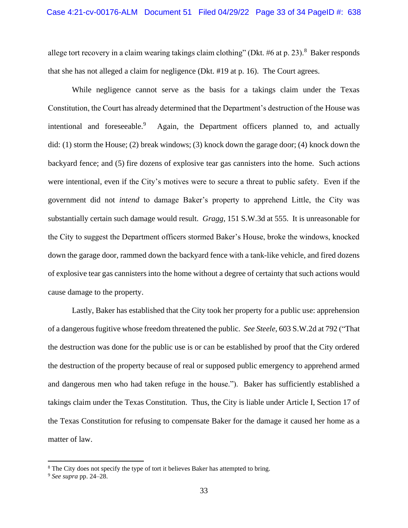allege tort recovery in a claim wearing takings claim clothing" (Dkt.  $#6$  at p. 23).<sup>8</sup> Baker responds that she has not alleged a claim for negligence (Dkt. #19 at p. 16). The Court agrees.

While negligence cannot serve as the basis for a takings claim under the Texas Constitution, the Court has already determined that the Department's destruction of the House was intentional and foreseeable.<sup>9</sup> Again, the Department officers planned to, and actually did: (1) storm the House; (2) break windows; (3) knock down the garage door; (4) knock down the backyard fence; and (5) fire dozens of explosive tear gas cannisters into the home. Such actions were intentional, even if the City's motives were to secure a threat to public safety. Even if the government did not *intend* to damage Baker's property to apprehend Little, the City was substantially certain such damage would result. *Gragg*, 151 S.W.3d at 555. It is unreasonable for the City to suggest the Department officers stormed Baker's House, broke the windows, knocked down the garage door, rammed down the backyard fence with a tank-like vehicle, and fired dozens of explosive tear gas cannisters into the home without a degree of certainty that such actions would cause damage to the property.

Lastly, Baker has established that the City took her property for a public use: apprehension of a dangerous fugitive whose freedom threatened the public. *See Steele*, 603 S.W.2d at 792 ("That the destruction was done for the public use is or can be established by proof that the City ordered the destruction of the property because of real or supposed public emergency to apprehend armed and dangerous men who had taken refuge in the house."). Baker has sufficiently established a takings claim under the Texas Constitution. Thus, the City is liable under Article I, Section 17 of the Texas Constitution for refusing to compensate Baker for the damage it caused her home as a matter of law.

<sup>&</sup>lt;sup>8</sup> The City does not specify the type of tort it believes Baker has attempted to bring.

<sup>9</sup> *See supra* pp. 24–28.